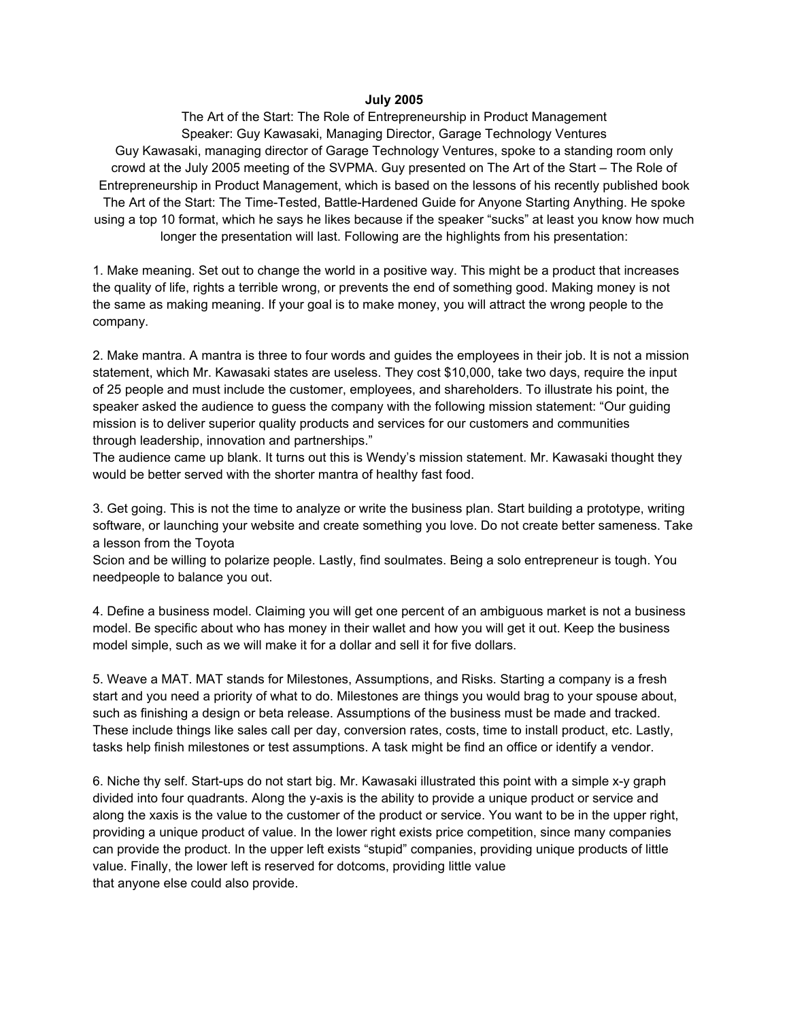## **July 2005**

The Art of the Start: The Role of Entrepreneurship in Product Management Speaker: Guy Kawasaki, Managing Director, Garage Technology Ventures Guy Kawasaki, managing director of Garage Technology Ventures, spoke to a standing room only crowd at the July 2005 meeting of the SVPMA. Guy presented on The Art of the Start – The Role of Entrepreneurship in Product Management, which is based on the lessons of his recently published book The Art of the Start: The Time-Tested, Battle-Hardened Guide for Anyone Starting Anything. He spoke using a top 10 format, which he says he likes because if the speaker "sucks" at least you know how much longer the presentation will last. Following are the highlights from his presentation:

1. Make meaning. Set out to change the world in a positive way. This might be a product that increases the quality of life, rights a terrible wrong, or prevents the end of something good. Making money is not the same as making meaning. If your goal is to make money, you will attract the wrong people to the company.

2. Make mantra. A mantra is three to four words and guides the employees in their job. It is not a mission statement, which Mr. Kawasaki states are useless. They cost \$10,000, take two days, require the input of 25 people and must include the customer, employees, and shareholders. To illustrate his point, the speaker asked the audience to guess the company with the following mission statement: "Our guiding mission is to deliver superior quality products and services for our customers and communities through leadership, innovation and partnerships."

The audience came up blank. It turns out this is Wendy's mission statement. Mr. Kawasaki thought they would be better served with the shorter mantra of healthy fast food.

3. Get going. This is not the time to analyze or write the business plan. Start building a prototype, writing software, or launching your website and create something you love. Do not create better sameness. Take a lesson from the Toyota

Scion and be willing to polarize people. Lastly, find soulmates. Being a solo entrepreneur is tough. You needpeople to balance you out.

4. Define a business model. Claiming you will get one percent of an ambiguous market is not a business model. Be specific about who has money in their wallet and how you will get it out. Keep the business model simple, such as we will make it for a dollar and sell it for five dollars.

5. Weave a MAT. MAT stands for Milestones, Assumptions, and Risks. Starting a company is a fresh start and you need a priority of what to do. Milestones are things you would brag to your spouse about, such as finishing a design or beta release. Assumptions of the business must be made and tracked. These include things like sales call per day, conversion rates, costs, time to install product, etc. Lastly, tasks help finish milestones or test assumptions. A task might be find an office or identify a vendor.

6. Niche thy self. Start-ups do not start big. Mr. Kawasaki illustrated this point with a simple x-y graph divided into four quadrants. Along the y-axis is the ability to provide a unique product or service and along the xaxis is the value to the customer of the product or service. You want to be in the upper right, providing a unique product of value. In the lower right exists price competition, since many companies can provide the product. In the upper left exists "stupid" companies, providing unique products of little value. Finally, the lower left is reserved for dotcoms, providing little value that anyone else could also provide.